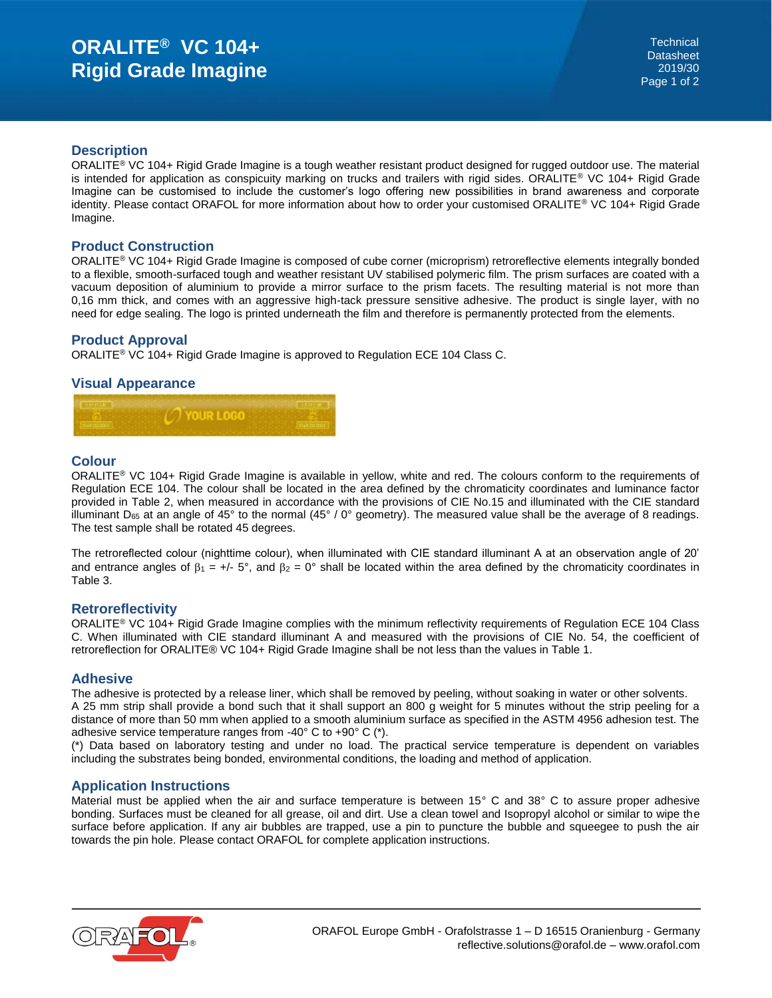# **ORALITE® VC 104+ Rigid Grade Imagine**

## **Description**

ORALITE<sup>®</sup> VC 104+ Rigid Grade Imagine is a tough weather resistant product designed for rugged outdoor use. The material is intended for application as conspicuity marking on trucks and trailers with rigid sides. ORALITE® VC 104+ Rigid Grade Imagine can be customised to include the customer's logo offering new possibilities in brand awareness and corporate identity. Please contact ORAFOL for more information about how to order your customised ORALITE® VC 104+ Rigid Grade Imagine.

## **Product Construction**

ORALITE® VC 104+ Rigid Grade Imagine is composed of cube corner (microprism) retroreflective elements integrally bonded to a flexible, smooth-surfaced tough and weather resistant UV stabilised polymeric film. The prism surfaces are coated with a vacuum deposition of aluminium to provide a mirror surface to the prism facets. The resulting material is not more than 0,16 mm thick, and comes with an aggressive high-tack pressure sensitive adhesive. The product is single layer, with no need for edge sealing. The logo is printed underneath the film and therefore is permanently protected from the elements.

## **Product Approval**

ORALITE® VC 104+ Rigid Grade Imagine is approved to Regulation ECE 104 Class C.

## **Visual Appearance**



## **Colour**

ORALITE® VC 104+ Rigid Grade Imagine is available in yellow, white and red. The colours conform to the requirements of Regulation ECE 104. The colour shall be located in the area defined by the chromaticity coordinates and luminance factor provided in Table 2, when measured in accordance with the provisions of CIE No.15 and illuminated with the CIE standard illuminant D<sub>65</sub> at an angle of 45° to the normal  $(45\degree/0\degree$  geometry). The measured value shall be the average of 8 readings. The test sample shall be rotated 45 degrees.

The retroreflected colour (nighttime colour), when illuminated with CIE standard illuminant A at an observation angle of 20' and entrance angles of  $\beta_1 = +/- 5^\circ$ , and  $\beta_2 = 0^\circ$  shall be located within the area defined by the chromaticity coordinates in Table 3.

#### **Retroreflectivity**

ORALITE® VC 104+ Rigid Grade Imagine complies with the minimum reflectivity requirements of Regulation ECE 104 Class C. When illuminated with CIE standard illuminant A and measured with the provisions of CIE No. 54, the coefficient of retroreflection for ORALITE® VC 104+ Rigid Grade Imagine shall be not less than the values in Table 1.

#### **Adhesive**

The adhesive is protected by a release liner, which shall be removed by peeling, without soaking in water or other solvents. A 25 mm strip shall provide a bond such that it shall support an 800 g weight for 5 minutes without the strip peeling for a distance of more than 50 mm when applied to a smooth aluminium surface as specified in the ASTM 4956 adhesion test. The adhesive service temperature ranges from -40° C to +90° C (\*).

(\*) Data based on laboratory testing and under no load. The practical service temperature is dependent on variables including the substrates being bonded, environmental conditions, the loading and method of application.

#### **Application Instructions**

Material must be applied when the air and surface temperature is between 15° C and 38° C to assure proper adhesive bonding. Surfaces must be cleaned for all grease, oil and dirt. Use a clean towel and Isopropyl alcohol or similar to wipe the surface before application. If any air bubbles are trapped, use a pin to puncture the bubble and squeegee to push the air towards the pin hole. Please contact ORAFOL for complete application instructions.